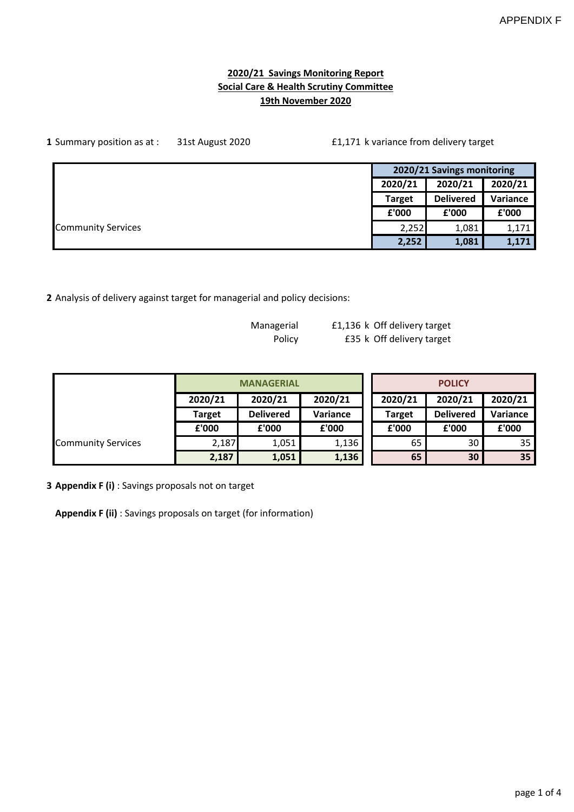### **2020/21 Savings Monitoring Report Social Care & Health Scrutiny Committee 19th November 2020**

| 1 Summary position as at : |  | £1,171 k variance from delivery target |                            |          |
|----------------------------|--|----------------------------------------|----------------------------|----------|
|                            |  |                                        | 2020/21 Savings monitoring |          |
|                            |  | 2020/21                                | 2020/21                    | 2020/21  |
|                            |  | <b>Target</b>                          | <b>Delivered</b>           | Variance |
|                            |  | £'000                                  | £'000                      | £'000    |
| <b>Community Services</b>  |  | 2,252                                  | 1,081                      | 1,171    |
|                            |  | 2,252                                  | 1,081                      | 1,171    |

**2** Analysis of delivery against target for managerial and policy decisions:

| Managerial | £1,136 k Off delivery target |
|------------|------------------------------|
| Policy     | £35 k Off delivery target    |

|                           |               | <b>MANAGERIAL</b> |          | <b>POLICY</b> |                  |          |  |  |
|---------------------------|---------------|-------------------|----------|---------------|------------------|----------|--|--|
|                           | 2020/21       | 2020/21           | 2020/21  | 2020/21       | 2020/21          | 2020/21  |  |  |
|                           | <b>Target</b> | <b>Delivered</b>  | Variance | <b>Target</b> | <b>Delivered</b> | Variance |  |  |
|                           | £'000         | £'000             | £'000    | £'000         | £'000            | £'000    |  |  |
| <b>Community Services</b> | 2,187         | 1,051             | 1,136    | 65            | 30               | 35       |  |  |
|                           | 2,187         | 1,051             | 1,136    | 65            | 30               | 35       |  |  |

**3 Appendix F (i)** : Savings proposals not on target

**Appendix F (ii)** : Savings proposals on target (for information)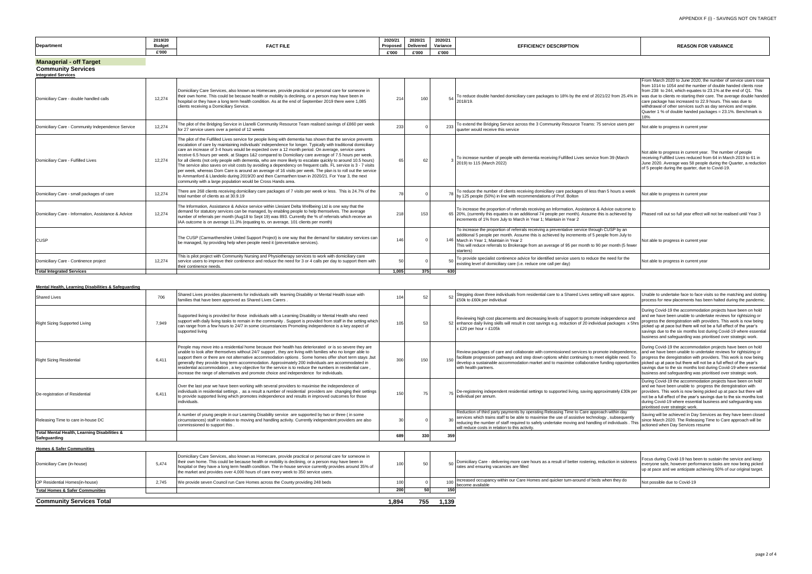### **Managerial - off Target**

| <b>Community Services</b><br><b>Integrated Services</b> |        |                                                                                                                                                                                                                                                                                                                                                                                                                                                                                                                                                                                                                                                                                                                                                                                                                                                                                                                                                                  |       |     |     |                                                                                                                                                                                                                                                                                                                                                                      |                                                                                                                                                                                                                                                                                                                                                                                                  |
|---------------------------------------------------------|--------|------------------------------------------------------------------------------------------------------------------------------------------------------------------------------------------------------------------------------------------------------------------------------------------------------------------------------------------------------------------------------------------------------------------------------------------------------------------------------------------------------------------------------------------------------------------------------------------------------------------------------------------------------------------------------------------------------------------------------------------------------------------------------------------------------------------------------------------------------------------------------------------------------------------------------------------------------------------|-------|-----|-----|----------------------------------------------------------------------------------------------------------------------------------------------------------------------------------------------------------------------------------------------------------------------------------------------------------------------------------------------------------------------|--------------------------------------------------------------------------------------------------------------------------------------------------------------------------------------------------------------------------------------------------------------------------------------------------------------------------------------------------------------------------------------------------|
| Domiciliary Care - double handled calls                 | 12.274 | Domiciliary Care Services, also known as Homecare, provide practical or personal care for someone in<br>their own home. This could be because health or mobility is declining, or a person may have been in<br>hospital or they have a long term health condition. As at the end of September 2019 there were 1,085<br>clients receiving a Domiciliary Service.                                                                                                                                                                                                                                                                                                                                                                                                                                                                                                                                                                                                  | 214   | 160 |     | 54 To reduce double handed domiciliary care packages to 18% by the end of 2021/22 from 25.4% in was due to clients re-starting their care. The average double handed<br>2018/19.                                                                                                                                                                                     | From March 2020 to June 2020, the number of service users rose<br>from 1014 to 1054 and the number of double handed clients rose<br>from 238 to 244, which equates to 23.1% at the end of Q1. This<br>care package has increased to 22.9 hours. This was due to<br>withdrawal of other services such as day services and respite.<br>Quarter 1 % of double handed packages = 23.1%. Benchmark is |
| Domiciliary Care - Community Independence Service       | 12.274 | The pilot of the Bridging Service in Llanelli Community Resource Team realised savings of £860 per week<br>for 27 service users over a period of 12 weeks                                                                                                                                                                                                                                                                                                                                                                                                                                                                                                                                                                                                                                                                                                                                                                                                        | 233   |     |     | To extend the Bridging Service across the 3 Community Resource Teams: 75 service users per<br>quarter would receive this service                                                                                                                                                                                                                                     | Not able to progress in current year                                                                                                                                                                                                                                                                                                                                                             |
| Domiciliary Care - Fulfilled Lives                      | 12.274 | The pilot of the Fulfilled Lives service for people living with dementia has shown that the service prevents<br>escalation of care by maintaining individuals' independence for longer. Typically with traditional domiciliary<br>care an increase of 3-4 hours would be expected over a 12 month period. On average, service users<br>receive 6.5 hours per week. at Stages 1&2 compared to Domiciliary care average of 7.5 hours per week.<br>for all clients (not only people with dementia, who are more likely to escalate quickly to around 10.5 hours)<br>The service also saves on visit costs by avoiding a dependency on frequent calls. FL service is 3 - 7 visits<br>per week, whereas Dom Care is around an average of 16 visits per week. The plan is to roll out the service<br>to Ammanford & Llandeilo during 2019/20 and then Carmarthen town in 2020/21. For Year 3, the next<br>community with a large population would be Cross Hands area. | 65    | 62  |     | To increase number of people with dementia receiving Fulfilled Lives service from 39 (March<br>2019) to 115 (March 2022)                                                                                                                                                                                                                                             | Not able to progress in current year. The number of people<br>receiving Fulfilled Lives reduced from 64 in March 2019 to 61 in<br>June 2020. Average was 58 people during the Quarter, a reduction<br>of 5 people during the quarter, due to Covid-19.                                                                                                                                           |
| Domiciliary Care - small packages of care               | 12.274 | There are 268 clients receiving domiciliary care packages of 7 visits per week or less. This is 24.7% of the<br>total number of clients as at 30.9.19                                                                                                                                                                                                                                                                                                                                                                                                                                                                                                                                                                                                                                                                                                                                                                                                            |       |     |     | To reduce the number of clients receiving domiciliary care packages of less than 5 hours a week<br>by 125 people (50%) in line with recommendations of Prof. Bolton                                                                                                                                                                                                  | Not able to progress in current year                                                                                                                                                                                                                                                                                                                                                             |
| Domiciliary Care - Information, Assistance & Advice     | 12.274 | The Information, Assistance & Advice service within Llesiant Delta Wellbeing Ltd is one way that the<br>demand for statutory services can be managed, by enabling people to help themselves. The average<br>number of referrals per month (Aug18 to Sept 19) was 893. Currently the % of referrals which receive an<br>IAA outcome is on average 11.3% (equating to, on average, 101 clients per month)                                                                                                                                                                                                                                                                                                                                                                                                                                                                                                                                                          | 218   | 153 |     | To increase the proportion of referrals receiving an Information, Assistance & Advice outcome to<br>65 20%, (currently this equates to an additional 74 people per month). Assume this is achieved by<br>increments of 1% from July to March in Year 1; Maintain in Year 2                                                                                           | Phased roll out so full year effect will not be realised until Year 3                                                                                                                                                                                                                                                                                                                            |
| <b>CUSP</b>                                             |        | The CUSP (Carmarthenshire United Support Project) is one way that the demand for statutory services can<br>be managed, by providing help when people need it (preventative services).                                                                                                                                                                                                                                                                                                                                                                                                                                                                                                                                                                                                                                                                                                                                                                            | 146   |     |     | To increase the proportion of referrals receiving a preventative service through CUSP by an<br>additional 5 people per month. Assume this is achieved by increments of 5 people from July to<br>146 March in Year 1: Maintain in Year 2<br>This will reduce referrals to Brokerage from an average of 95 per month to 90 per month (5 fewer<br>starters <sup>'</sup> | Not able to progress in current year                                                                                                                                                                                                                                                                                                                                                             |
| Domiciliary Care - Continence project                   | 12,274 | This is pilot project with Community Nursing and Physiotherapy services to work with domiciliary care<br>service users to improve their continence and reduce the need for 3 or 4 calls per day to support them with<br>their continence needs.                                                                                                                                                                                                                                                                                                                                                                                                                                                                                                                                                                                                                                                                                                                  |       |     |     | To provide specialist continence advice for identified service users to reduce the need for the<br>existing level of domiciliary care (i.e. reduce one call per day)                                                                                                                                                                                                 | Not able to progress in current year                                                                                                                                                                                                                                                                                                                                                             |
| <b>Total Integrated Services</b>                        |        |                                                                                                                                                                                                                                                                                                                                                                                                                                                                                                                                                                                                                                                                                                                                                                                                                                                                                                                                                                  | 1.005 | 375 | 630 |                                                                                                                                                                                                                                                                                                                                                                      |                                                                                                                                                                                                                                                                                                                                                                                                  |

|                                                                                                                               | 2019/20             |                  | 2020/2                                                                                                                       | 2020/21              | 2020/21 |                           |                            |
|-------------------------------------------------------------------------------------------------------------------------------|---------------------|------------------|------------------------------------------------------------------------------------------------------------------------------|----------------------|---------|---------------------------|----------------------------|
| Department<br>the contract of the contract of the contract of the contract of the contract of the contract of the contract of | Budge               | <b>FACT FILL</b> | TUPUSEU                                                                                                                      | Deliverec            |         | <b>NURIPIIUM</b><br>crrit | <b>REASON FOR VARIANCE</b> |
|                                                                                                                               | £'OOO<br>$\sim$ 000 |                  | <br>£'000<br>the contract of the contract of the contract of the contract of the contract of the contract of the contract of | c'nnn<br>$\cdot$ vvv | счин    |                           |                            |

| ave approx.                                  | Unable to undertake face to face visits so the matching and slotting<br>process for new placements has been halted during the pandemic.                                                                                                                                                                                                                                                                              |
|----------------------------------------------|----------------------------------------------------------------------------------------------------------------------------------------------------------------------------------------------------------------------------------------------------------------------------------------------------------------------------------------------------------------------------------------------------------------------|
| ndence and<br>kages x 5hrs                   | During Covid-19 the accommodation projects have been on hold<br>and we have been unable to undertake reviews for rightsizing or<br>progress the deregistration with providers. This work is now being<br>picked up at pace but there will not be a full effect of the year's<br>savings due to the six months lost during Covid-19 where essential<br>business and safeguarding was prioritised over strategic work. |
| dependence,<br>ole need. To<br>opportunities | During Covid-19 the accommodation projects have been on hold<br>and we have been unable to undertake reviews for rightsizing or<br>progress the deregistration with providers. This work is now being<br>picked up at pace but there will not be a full effect of the year's<br>savings due to the six months lost during Covid-19 where essential<br>business and safeguarding was prioritised over strategic work. |
| tely £30k per                                | During Covid-19 the accommodation projects have been on hold<br>and we have been unable to progress the deregistration with<br>providers. This work is now being picked up at pace but there will<br>not be a full effect of the year's savings due to the six months lost<br>during Covid-19 where essential business and safeguarding was<br>prioritised over strategic work.                                      |
| hin day<br>ibsequently<br>ividuals . This    | Saving will be achieved in Day Services as they have been closed<br>since March 2020. The Releasing Time to Care approach will be<br>actioned when Day Services resume                                                                                                                                                                                                                                               |
|                                              |                                                                                                                                                                                                                                                                                                                                                                                                                      |

#### **Mental Health, Learning Disabilities & Safeguarding** 706 Shared Lives provides placements for individuals with learning Disability or Mental Health issue with the theorem and the state of the state of the setting will save approx.<br>Thankilies that have been approved as Shared £50k to £60k per individual Right Sizing Supported Living **7,949** Supported living is provided for those individuals with a Learning Disability or Mental Health who need support with daily living tasks to remain in the community . Support is provided from staff in the setting which can range from a few hours to 24/7 in some circumstances Promoting independence is a key aspect of supported living 105 53 52 Reviewing high cost placements and decreasing levels of support to promote indeper enhance daily living skills will result in cost savings e.g. reduction of 20 individual packages x 52  $x \pounds 20$  per hour = £105k Right Sizing Residential 6,411 People may move into a residential home because their health has deteriorated or is so severe they are unable to look after themselves without 24/7 support , they are living with families who no longer able to support them or there are not alternative accommodation options . Some homes offer short term stays ,but generally they provide long term accommodation. Approximately 200 individuals are accommodated in residential accommodation , a key objective for the service is to reduce the numbers in residential care , increase the range of alternatives and promote choice and independence for individuals. 300 150 150 Review packages of care and collaborate with commissioned services to promote ind facilitate progression pathways and step down options whilst continuing to meet eligible need. To meet eligible need. To meet eligible need. To meet eligible need. To meet eligible need. To meet eligible need. To meet elig develop a sustainable accommodation market and to maximise collaborative funding with health partners. De-registration of Residential 6,411 Over the last year we have been working with several providers to maximise the independence of individuals in residential settings , as a result a number of residential providers are changing their settings to provide supported living which promotes independence and results in improved outcomes for those .<br>dividuals. 150 75 De-registering independent residential settings to supported living, saving approximate<br>
250k per sampling approximately approximately in the individual per sampling individual per annum. Releasing Time to care in-house DC A number of young people in our Learning Disability service are supported by two or three ( in some circumstances) staff in relation to moving and handling activity. Currently independent providers are also commissioned to support this . 30 0 30 Reduction of third party payments by operating Releasing Time to Care approach within day services which trains staff to be able to maximise the use of assistive technology , subsequently reducing the number of staff required to safely undertake moving and handling of individuals . will reduce costs in relation to this activity. **Total Mental Health, Learning Disabilities & Safeguarding <sup>689</sup> <sup>330</sup> <sup>359</sup> Homes & Safer Communities** Domiciliary Care (in-house) 5,474 Domiciliary Care Services, also known as Homecare, provide practical or personal care for someone in their own home. This could be because health or mobility is declining, or a person may have been in hospital or they have a long term health condition. The in-house service currently provides around 35% of the market and provides over 4,000 hours of care every week to 350 service users. 100 50 50 Domiciliary Care - delivering more care hours as a result of better rostering, reduction rates and ensuring vacancies are filled OP Residential Homes(in-house) 2,745 We provide seven Council run Care Homes across the County providing 248 beds 100 100 100 Increased occupancy with the come available Increased occupancy within our Care Homes and quicker turn-around of beds when to become available<br>150 **Total Homes & Safer Communities 200 50 150 Community Services Total 1,894 755 1,139**

| n in sickness | Focus during Covid-19 has been to sustain the service and keep<br>everyone safe, however performance tasks are now being picked<br>up at pace and we anticipate achieving 50% of our original target. |
|---------------|-------------------------------------------------------------------------------------------------------------------------------------------------------------------------------------------------------|
| they do       | Not possible due to Covid-19                                                                                                                                                                          |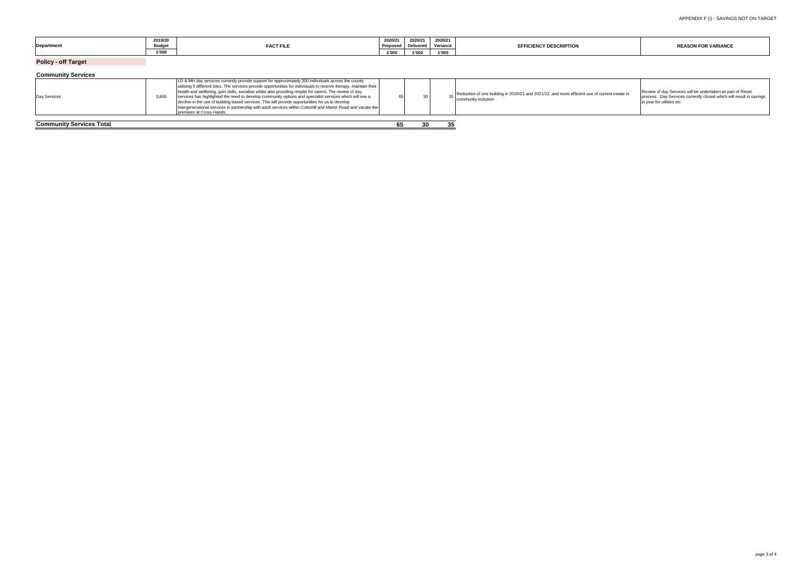| <b>Department</b>               | 2019/20<br><b>Budget</b><br>£'000 | <b>FACT FILE</b>                                                                                                                                                                                                                                                                                                                                                                                                                                                                                                                                                                                                                                                                                | 2020/21<br>Proposed<br>£'000 | 2020/21<br><b>Delivered</b><br>£'000 | 2020/21<br>Variance<br>£'000 | <b>EFFICIENCY DESCRIPTION</b>                                                                                               | <b>REASON FOR VARIANCE</b>                                                                                                                                     |
|---------------------------------|-----------------------------------|-------------------------------------------------------------------------------------------------------------------------------------------------------------------------------------------------------------------------------------------------------------------------------------------------------------------------------------------------------------------------------------------------------------------------------------------------------------------------------------------------------------------------------------------------------------------------------------------------------------------------------------------------------------------------------------------------|------------------------------|--------------------------------------|------------------------------|-----------------------------------------------------------------------------------------------------------------------------|----------------------------------------------------------------------------------------------------------------------------------------------------------------|
| <b>Policy - off Target</b>      |                                   |                                                                                                                                                                                                                                                                                                                                                                                                                                                                                                                                                                                                                                                                                                 |                              |                                      |                              |                                                                                                                             |                                                                                                                                                                |
| <b>Community Services</b>       |                                   |                                                                                                                                                                                                                                                                                                                                                                                                                                                                                                                                                                                                                                                                                                 |                              |                                      |                              |                                                                                                                             |                                                                                                                                                                |
| Day Services                    | 3,600                             | LD & MH day services currently provide support for approximately 300 individuals across the county<br>utilising 9 different sites. The services provide opportunities for individuals to receive therapy, maintain their<br>health and wellbeing, gain skills, socialise whilst also providing respite for carers. The review of day<br>services has highlighted the need to develop community options and specialist services which will see a<br>decline in the use of building based services. This will provide opportunities for us to develop<br>intergenerational services in partnership with adult services within Coleshill and Manor Road and vacate the<br>premises at Cross Hands. |                              |                                      |                              | $_{25}$ Reduction of one building in 2020/21 and 2021/22 and more efficient use of current estate in<br>community inclusion | Review of day Services will be undertaken as part of Reset<br>process. Day Services currently closed which will result in savings<br>in year for utilities etc |
| <b>Community Services Total</b> |                                   |                                                                                                                                                                                                                                                                                                                                                                                                                                                                                                                                                                                                                                                                                                 | 65.                          | 30                                   |                              |                                                                                                                             |                                                                                                                                                                |